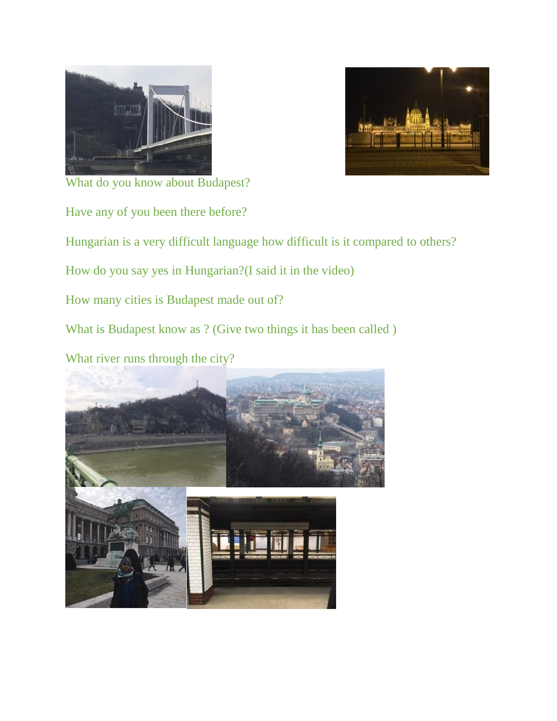



What do you know about Budapest?

Have any of you been there before?

Hungarian is a very difficult language how difficult is it compared to others?

How do you say yes in Hungarian?(I said it in the video)

How many cities is Budapest made out of?

What is Budapest know as ? (Give two things it has been called )

What river runs through the city?

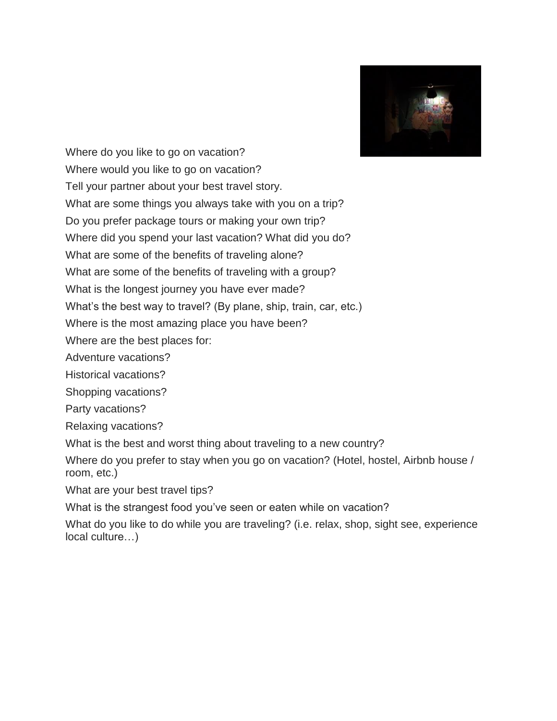

Where do you like to go on vacation? Where would you like to go on vacation? Tell your partner about your best travel story. What are some things you always take with you on a trip? Do you prefer package tours or making your own trip? Where did you spend your last vacation? What did you do? What are some of the benefits of traveling alone? What are some of the benefits of traveling with a group? What is the longest journey you have ever made? What's the best way to travel? (By plane, ship, train, car, etc.) Where is the most amazing place you have been? Where are the best places for: Adventure vacations?

Historical vacations?

Shopping vacations?

Party vacations?

Relaxing vacations?

What is the best and worst thing about traveling to a new country?

Where do you prefer to stay when you go on vacation? (Hotel, hostel, Airbnb house / room, etc.)

What are your best travel tips?

What is the strangest food you've seen or eaten while on vacation?

What do you like to do while you are traveling? (i.e. relax, shop, sight see, experience local culture…)